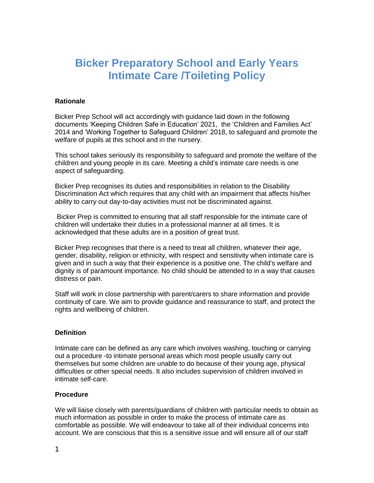# **Bicker Preparatory School and Early Years Intimate Care /Toileting Policy**

### **Rationale**

Bicker Prep School will act accordingly with guidance laid down in the following documents 'Keeping Children Safe in Education' 2021, the 'Children and Families Act' 2014 and 'Working Together to Safeguard Children' 2018, to safeguard and promote the welfare of pupils at this school and in the nursery.

This school takes seriously its responsibility to safeguard and promote the welfare of the children and young people in its care. Meeting a child's intimate care needs is one aspect of safeguarding.

Bicker Prep recognises its duties and responsibilities in relation to the Disability Discrimination Act which requires that any child with an impairment that affects his/her ability to carry out day-to-day activities must not be discriminated against.

Bicker Prep is committed to ensuring that all staff responsible for the intimate care of children will undertake their duties in a professional manner at all times. It is acknowledged that these adults are in a position of great trust.

Bicker Prep recognises that there is a need to treat all children, whatever their age, gender, disability, religion or ethnicity, with respect and sensitivity when intimate care is given and in such a way that their experience is a positive one. The child's welfare and dignity is of paramount importance. No child should be attended to in a way that causes distress or pain.

Staff will work in close partnership with parent/carers to share information and provide continuity of care. We aim to provide guidance and reassurance to staff, and protect the rights and wellbeing of children.

## **Definition**

Intimate care can be defined as any care which involves washing, touching or carrying out a procedure -to intimate personal areas which most people usually carry out themselves but some children are unable to do because of their young age, physical difficulties or other special needs. It also includes supervision of children involved in intimate self-care.

#### **Procedure**

We will liaise closely with parents/guardians of children with particular needs to obtain as much information as possible in order to make the process of intimate care as comfortable as possible. We will endeavour to take all of their individual concerns into account. We are conscious that this is a sensitive issue and will ensure all of our staff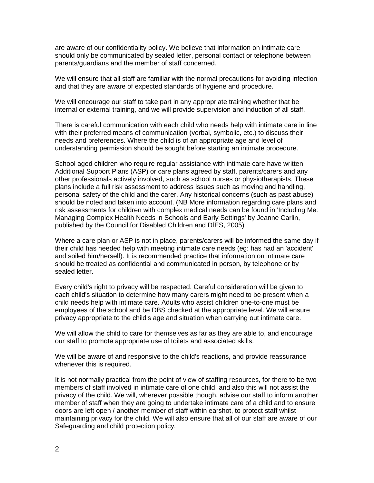are aware of our confidentiality policy. We believe that information on intimate care should only be communicated by sealed letter, personal contact or telephone between parents/guardians and the member of staff concerned.

We will ensure that all staff are familiar with the normal precautions for avoiding infection and that they are aware of expected standards of hygiene and procedure.

We will encourage our staff to take part in any appropriate training whether that be internal or external training, and we will provide supervision and induction of all staff.

There is careful communication with each child who needs help with intimate care in line with their preferred means of communication (verbal, symbolic, etc.) to discuss their needs and preferences. Where the child is of an appropriate age and level of understanding permission should be sought before starting an intimate procedure.

School aged children who require regular assistance with intimate care have written Additional Support Plans (ASP) or care plans agreed by staff, parents/carers and any other professionals actively involved, such as school nurses or physiotherapists. These plans include a full risk assessment to address issues such as moving and handling, personal safety of the child and the carer. Any historical concerns (such as past abuse) should be noted and taken into account. (NB More information regarding care plans and risk assessments for children with complex medical needs can be found in 'Including Me: Managing Complex Health Needs in Schools and Early Settings' by Jeanne Carlin, published by the Council for Disabled Children and DfES, 2005)

Where a care plan or ASP is not in place, parents/carers will be informed the same day if their child has needed help with meeting intimate care needs (eg: has had an 'accident' and soiled him/herself). It is recommended practice that information on intimate care should be treated as confidential and communicated in person, by telephone or by sealed letter.

Every child's right to privacy will be respected. Careful consideration will be given to each child's situation to determine how many carers might need to be present when a child needs help with intimate care. Adults who assist children one-to-one must be employees of the school and be DBS checked at the appropriate level. We will ensure privacy appropriate to the child's age and situation when carrying out intimate care.

We will allow the child to care for themselves as far as they are able to, and encourage our staff to promote appropriate use of toilets and associated skills.

We will be aware of and responsive to the child's reactions, and provide reassurance whenever this is required.

It is not normally practical from the point of view of staffing resources, for there to be two members of staff involved in intimate care of one child, and also this will not assist the privacy of the child. We will, wherever possible though, advise our staff to inform another member of staff when they are going to undertake intimate care of a child and to ensure doors are left open / another member of staff within earshot, to protect staff whilst maintaining privacy for the child. We will also ensure that all of our staff are aware of our Safeguarding and child protection policy.